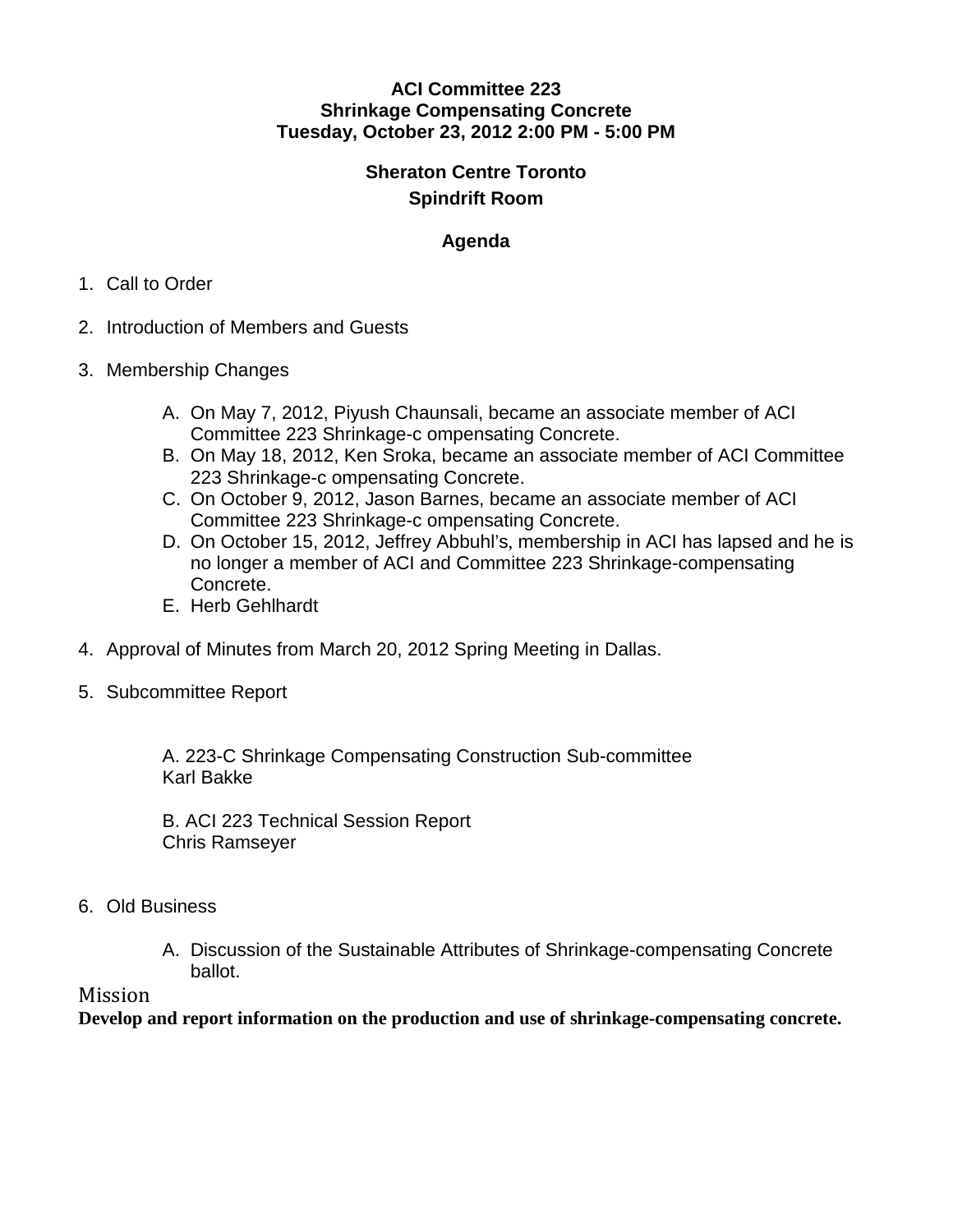#### **ACI Committee 223 Shrinkage Compensating Concrete Tuesday, October 23, 2012 2:00 PM - 5:00 PM**

# **Sheraton Centre Toronto Spindrift Room**

## **Agenda**

#### 1. Call to Order

- 2. Introduction of Members and Guests
- 3. Membership Changes
	- A. On May 7, 2012, Piyush Chaunsali, became an associate member of ACI Committee 223 Shrinkage-c ompensating Concrete.
	- B. On May 18, 2012, Ken Sroka, became an associate member of ACI Committee 223 Shrinkage-c ompensating Concrete.
	- C. On October 9, 2012, Jason Barnes, became an associate member of ACI Committee 223 Shrinkage-c ompensating Concrete.
	- D. On October 15, 2012, Jeffrey Abbuhl's, membership in ACI has lapsed and he is no longer a member of ACI and Committee 223 Shrinkage-compensating Concrete.
	- E. Herb Gehlhardt
- 4. Approval of Minutes from March 20, 2012 Spring Meeting in Dallas.
- 5. Subcommittee Report

A. 223-C Shrinkage Compensating Construction Sub-committee Karl Bakke

B. ACI 223 Technical Session Report Chris Ramseyer

- 6. Old Business
	- A. Discussion of the Sustainable Attributes of Shrinkage-compensating Concrete ballot.

### Mission

**Develop and report information on the production and use of shrinkage-compensating concrete.**